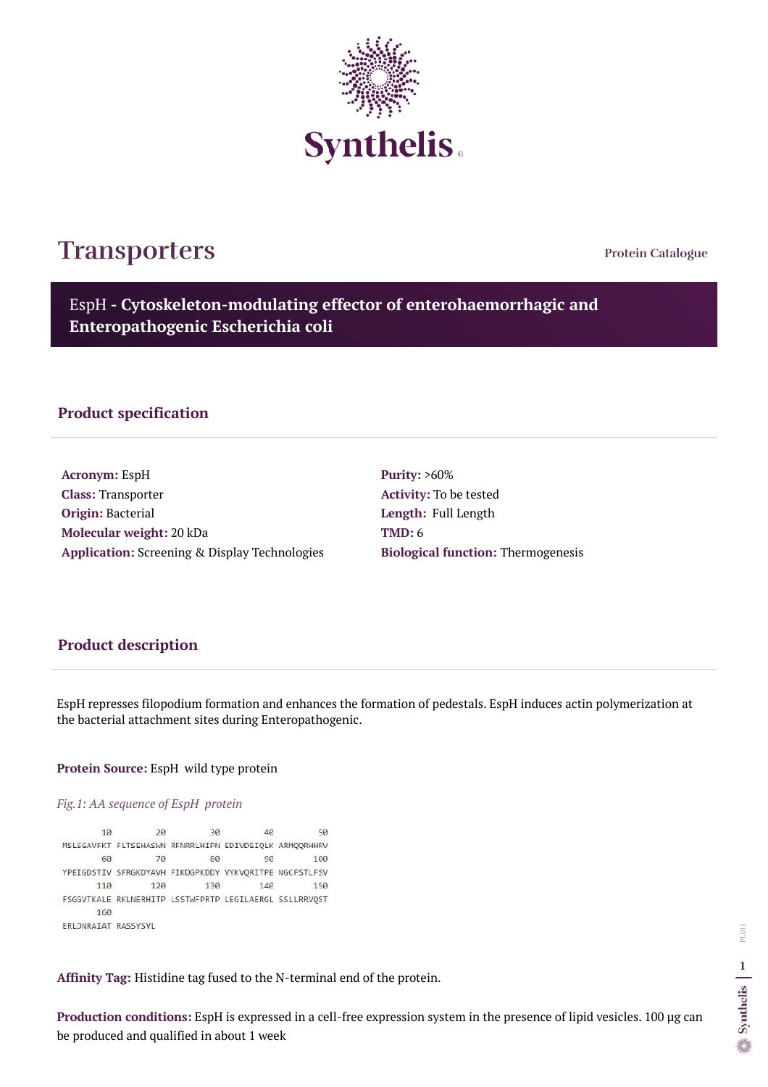**Protein Catalogue**

EspH **- Cytoskeleton-modulating effector of enterohaemorrhagic and Enteropathogenic Escherichia coli**



# **Transporters**

### **Product specification**

**Acronym:** EspH **Class:** Transporter **Origin:** Bacterial **Molecular weight:** 20 kDa **Application:** Screening & Display Technologies **Purity:** >60% **Activity:** To be tested **Length:** Full Length **TMD:** 6 **Biological function:** Thermogenesis

## **Product description**

EspH represses filopodium formation and enhances the formation of pedestals. EspH induces actin polymerization at the bacterial attachment sites during Enteropathogenic.

#### **Protein Source:** EspH wild type protein

#### *Fig.1: AA sequence of EspH protein*

10 20 30 46 50 MSLSGAVFKT FLTSEHASWN RFNRRLHIPN EDIVDEIQLK ARMQQRHHRV 60 70 80 9e 100 YPEIGDSTIV SFRGKDYAVH FIKDGPKDDY VYKVQRITPE NGCFSTLFSV 120 110 130 146 150 FSGGVTKALE RKLNERHITP LSSTWFPRTP LEGILAERGL SSLLRRVQST 160 ERLONRAIAT RASSYSVL

**Affinity Tag:** Histidine tag fused to the N-terminal end of the protein.

**Production conditions:** EspH is expressed in a cell-free expression system in the presence of lipid vesicles. 100 µg can be produced and qualified in about 1 week